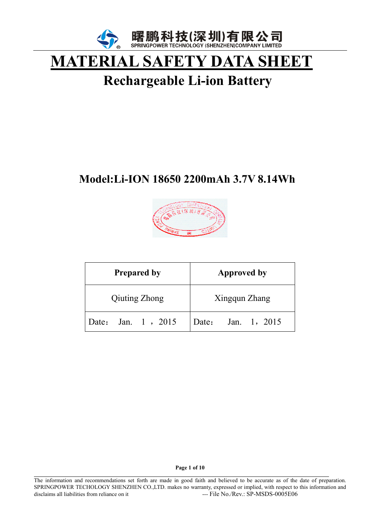

# **MATERIAL SAFETY DATA SHEET**

# **Rechargeable Li-ion Battery**

# **Model:Li-ION 18650 2200mAh 3.7V 8.14Wh**



| <b>Prepared by</b>   | <b>Approved by</b>    |
|----------------------|-----------------------|
| <b>Qiuting Zhong</b> | Xingqun Zhang         |
| Date: Jan. 1, 2015   | Jan. 1, 2015<br>Date: |

**Page 1 of 10** 

 $\overline{a}$ 

The information and recommendations set forth are made in good faith and believed to be accurate as of the date of preparation. SPRINGPOWER TECHOLOGY SHENZHEN CO.,LTD. makes no warranty, expressed or implied, with respect to this information and disclaims all liabilities from reliance on it --- File No./Rev.: SP-MSDS-0005E06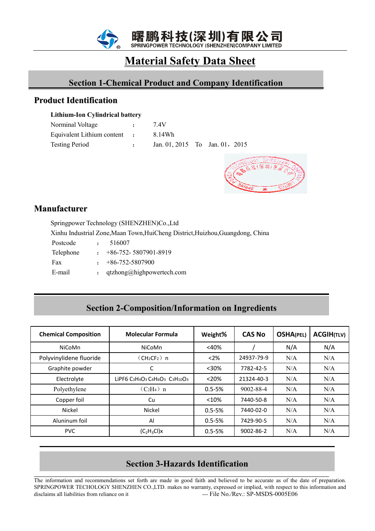

## **Material Safety Data Sheet**

## **Section 1-Chemical Product and Company Identification Section 1-Chemical Product and Company Identification**

#### **Product Identification**

#### **Lithium-Ion Cylindrical battery**

| Norminal Voltage             | $\mathbf{r}$ | 7 4V                           |  |  |
|------------------------------|--------------|--------------------------------|--|--|
| Equivalent Lithium content : |              | 8.14Wh                         |  |  |
| <b>Testing Period</b>        | $\mathbf{r}$ | Jan. 01, 2015 To Jan. 01, 2015 |  |  |



#### **Manufacturer**

Springpower Technology (SHENZHEN)Co.,Ltd

Xinhu Industrial Zone,Maan Town,HuiCheng District,Huizhou,Guangdong, China

Postcode : 516007

| Telephone |  | $+86-752-5807901-8919$ |
|-----------|--|------------------------|
|-----------|--|------------------------|

| Fax | $+86-752-5807900$ |
|-----|-------------------|
|     |                   |

E-mail : qtzhong@highpowertech.com

## **Section 2-Composition/Information on Ingredients Section 2-Composition/Information on Ingredients**

| <b>Chemical Composition</b> | <b>Molecular Formula</b>            | Weight%    | <b>CAS No</b> | <b>OSHA(PEL)</b> | <b>ACGIH(TLV)</b> |
|-----------------------------|-------------------------------------|------------|---------------|------------------|-------------------|
| NiCoMn                      | <b>NiCoMn</b>                       | $<$ 40%    |               | N/A              | N/A               |
| Polyvinylidene fluoride     | $(CH2CF2)$ n                        | $<$ 2%     | 24937-79-9    | N/A              | N/A               |
| Graphite powder             | С                                   | $30%$      | 7782-42-5     | N/A              | N/A               |
| Electrolyte                 | LIPF6 C3H4O3 C4H6O3 C3H10O3         | < 20%      | 21324-40-3    | N/A              | N/A               |
| Polyethylene                | $(C_2H_4)$ n                        | $0.5 - 5%$ | 9002-88-4     | N/A              | N/A               |
| Copper foil                 | Cu                                  | < 10%      | 7440-50-8     | N/A              | N/A               |
| Nickel                      | Nickel                              | $0.5 - 5%$ | 7440-02-0     | N/A              | N/A               |
| Aluninum foil               | Al                                  | $0.5 - 5%$ | 7429-90-5     | N/A              | N/A               |
| <b>PVC</b>                  | (C <sub>2</sub> H <sub>3</sub> Cl)x | $0.5 - 5%$ | 9002-86-2     | N/A              | N/A               |

# **Page 2 of 10 Section 3-Hazards Identification**

 $\overline{a}$ The information and recommendations set forth are made in good faith and believed to be accurate as of the date of preparation. SPRINGPOWER TECHOLOGY SHENZHEN CO.,LTD. makes no warranty, expressed or implied, with respect to this information and disclaims all liabilities from reliance on it --- File No./Rev.: SP-MSDS-0005E06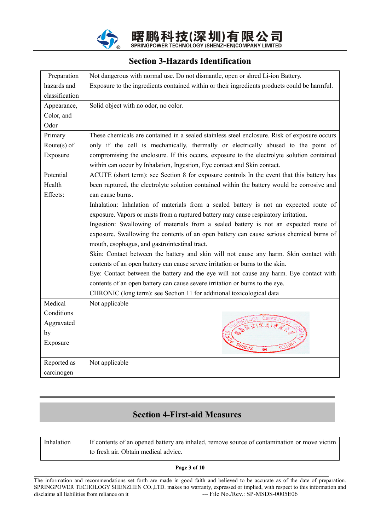

#### **Section 3-Hazards Identification**

| Preparation    | Not dangerous with normal use. Do not dismantle, open or shred Li-ion Battery.                                                                                         |
|----------------|------------------------------------------------------------------------------------------------------------------------------------------------------------------------|
| hazards and    | Exposure to the ingredients contained within or their ingredients products could be harmful.                                                                           |
| classification |                                                                                                                                                                        |
| Appearance,    | Solid object with no odor, no color.                                                                                                                                   |
| Color, and     |                                                                                                                                                                        |
| Odor           |                                                                                                                                                                        |
| Primary        | These chemicals are contained in a sealed stainless steel enclosure. Risk of exposure occurs                                                                           |
| Route $(s)$ of | only if the cell is mechanically, thermally or electrically abused to the point of                                                                                     |
| Exposure       | compromising the enclosure. If this occurs, exposure to the electrolyte solution contained<br>within can occur by Inhalation, Ingestion, Eye contact and Skin contact. |
| Potential      | ACUTE (short term): see Section 8 for exposure controls In the event that this battery has                                                                             |
| Health         | been ruptured, the electrolyte solution contained within the battery would be corrosive and                                                                            |
| Effects:       | can cause burns.                                                                                                                                                       |
|                | Inhalation: Inhalation of materials from a sealed battery is not an expected route of                                                                                  |
|                | exposure. Vapors or mists from a ruptured battery may cause respiratory irritation.                                                                                    |
|                | Ingestion: Swallowing of materials from a sealed battery is not an expected route of                                                                                   |
|                | exposure. Swallowing the contents of an open battery can cause serious chemical burns of                                                                               |
|                | mouth, esophagus, and gastrointestinal tract.                                                                                                                          |
|                | Skin: Contact between the battery and skin will not cause any harm. Skin contact with                                                                                  |
|                | contents of an open battery can cause severe irritation or burns to the skin.                                                                                          |
|                | Eye: Contact between the battery and the eye will not cause any harm. Eye contact with                                                                                 |
|                | contents of an open battery can cause severe irritation or burns to the eye.                                                                                           |
|                | CHRONIC (long term): see Section 11 for additional toxicological data                                                                                                  |
| Medical        | Not applicable                                                                                                                                                         |
| Conditions     |                                                                                                                                                                        |
| Aggravated     |                                                                                                                                                                        |
| by             |                                                                                                                                                                        |
| Exposure       |                                                                                                                                                                        |
| Reported as    | Not applicable                                                                                                                                                         |
| carcinogen     |                                                                                                                                                                        |

#### **Section 4-First-aid Measures Section 4-First-aid Measures**

| Inhalation | If contents of an opened battery are inhaled, remove source of contamination or move victim |
|------------|---------------------------------------------------------------------------------------------|
|            | to fresh air. Obtain medical advice.                                                        |

#### **Page 3 of 10**

 $\overline{a}$ 

The information and recommendations set forth are made in good faith and believed to be accurate as of the date of preparation. SPRINGPOWER TECHOLOGY SHENZHEN CO.,LTD. makes no warranty, expressed or implied, with respect to this information and disclaims all liabilities from reliance on it ---- File No./Rev.: SP-MSDS-0005E06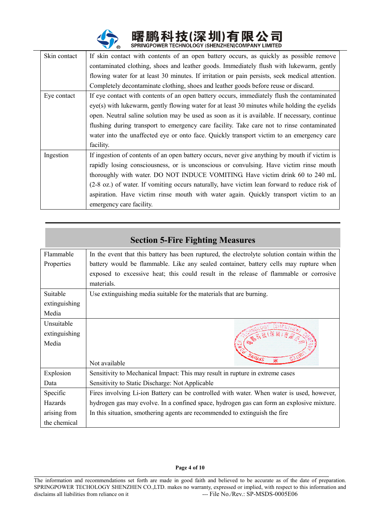

| Skin contact | If skin contact with contents of an open battery occurs, as quickly as possible remove         |
|--------------|------------------------------------------------------------------------------------------------|
|              | contaminated clothing, shoes and leather goods. Immediately flush with lukewarm, gently        |
|              | flowing water for at least 30 minutes. If irritation or pain persists, seek medical attention. |
|              | Completely decontaminate clothing, shoes and leather goods before reuse or discard.            |
| Eye contact  | If eye contact with contents of an open battery occurs, immediately flush the contaminated     |
|              | eye(s) with lukewarm, gently flowing water for at least 30 minutes while holding the eyelids   |
|              | open. Neutral saline solution may be used as soon as it is available. If necessary, continue   |
|              | flushing during transport to emergency care facility. Take care not to rinse contaminated      |
|              | water into the unaffected eye or onto face. Quickly transport victim to an emergency care      |
|              | facility.                                                                                      |
| Ingestion    | If ingestion of contents of an open battery occurs, never give anything by mouth if victim is  |
|              | rapidly losing consciousness, or is unconscious or convulsing. Have victim rinse mouth         |
|              | thoroughly with water. DO NOT INDUCE VOMITING. Have victim drink 60 to 240 mL                  |
|              | (2-8 oz.) of water. If vomiting occurs naturally, have victim lean forward to reduce risk of   |
|              | aspiration. Have victim rinse mouth with water again. Quickly transport victim to an           |
|              | emergency care facility.                                                                       |

|               | <b>Section 5-Fire Fighting Measures</b>                                                       |  |
|---------------|-----------------------------------------------------------------------------------------------|--|
| Flammable     | In the event that this battery has been ruptured, the electrolyte solution contain within the |  |
| Properties    | battery would be flammable. Like any sealed container, battery cells may rupture when         |  |
|               | exposed to excessive heat; this could result in the release of flammable or corrosive         |  |
|               | materials.                                                                                    |  |
| Suitable      | Use extinguishing media suitable for the materials that are burning.                          |  |
| extinguishing |                                                                                               |  |
| Media         |                                                                                               |  |
| Unsuitable    |                                                                                               |  |
| extinguishing | (家族(深圳)                                                                                       |  |
| Media         |                                                                                               |  |
|               | ONIBAS                                                                                        |  |
|               | Not available                                                                                 |  |
| Explosion     | Sensitivity to Mechanical Impact: This may result in rupture in extreme cases                 |  |
| Data          | Sensitivity to Static Discharge: Not Applicable                                               |  |
| Specific      | Fires involving Li-ion Battery can be controlled with water. When water is used, however,     |  |
| Hazards       | hydrogen gas may evolve. In a confined space, hydrogen gas can form an explosive mixture.     |  |
| arising from  | In this situation, smothering agents are recommended to extinguish the fire                   |  |
| the chemical  |                                                                                               |  |

#### **Page 4 of 10**

 $\overline{a}$ 

The information and recommendations set forth are made in good faith and believed to be accurate as of the date of preparation. SPRINGPOWER TECHOLOGY SHENZHEN CO.,LTD. makes no warranty, expressed or implied, with respect to this information and disclaims all liabilities from reliance on it --- File No./Rev.: SP-MSDS-0005E06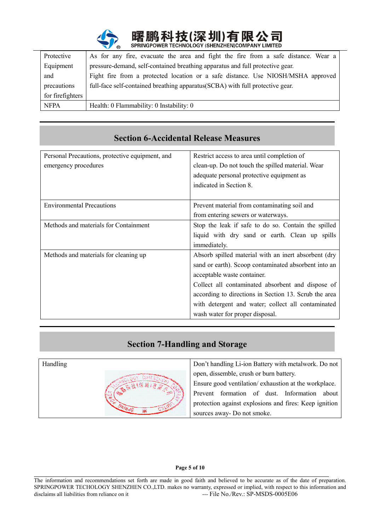

| Protective       | As for any fire, evacuate the area and fight the fire from a safe distance. Wear a |
|------------------|------------------------------------------------------------------------------------|
| Equipment        | pressure-demand, self-contained breathing apparatus and full protective gear.      |
| and              | Fight fire from a protected location or a safe distance. Use NIOSH/MSHA approved   |
| precautions      | full-face self-contained breathing apparatus (SCBA) with full protective gear.     |
| for firefighters |                                                                                    |
| <b>NFPA</b>      | Health: 0 Flammability: 0 Instability: 0                                           |

| Secuvil v-Accidental Reiease Measules           |                                                       |
|-------------------------------------------------|-------------------------------------------------------|
| Personal Precautions, protective equipment, and | Restrict access to area until completion of           |
| emergency procedures                            | clean-up. Do not touch the spilled material. Wear     |
|                                                 | adequate personal protective equipment as             |
|                                                 | indicated in Section 8.                               |
|                                                 |                                                       |
| <b>Environmental Precautions</b>                | Prevent material from contaminating soil and          |
|                                                 | from entering sewers or waterways.                    |
| Methods and materials for Containment           | Stop the leak if safe to do so. Contain the spilled   |
|                                                 | liquid with dry sand or earth. Clean up spills        |
|                                                 | immediately.                                          |
| Methods and materials for cleaning up           | Absorb spilled material with an inert absorbent (dry  |
|                                                 | sand or earth). Scoop contaminated absorbent into an  |
|                                                 | acceptable waste container.                           |
|                                                 | Collect all contaminated absorbent and dispose of     |
|                                                 | according to directions in Section 13. Scrub the area |
|                                                 | with detergent and water; collect all contaminated    |
|                                                 | wash water for proper disposal.                       |

# **Section 6-Accidental Release Measures Section 6-Accidental Release Measures**

### **Section 7-Handling and Storage**



#### **Page 5 of 10**

 $\overline{a}$ The information and recommendations set forth are made in good faith and believed to be accurate as of the date of preparation. SPRINGPOWER TECHOLOGY SHENZHEN CO.,LTD. makes no warranty, expressed or implied, with respect to this information and disclaims all liabilities from reliance on it --- File No./Rev.: SP-MSDS-0005E06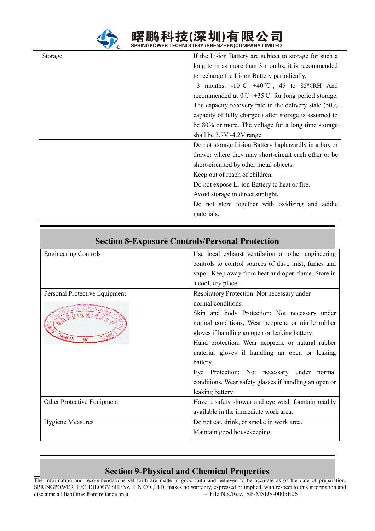

曙鹏科技(深圳)有限公司

| Storage | If the Li-ion Battery are subject to storage for such a                      |
|---------|------------------------------------------------------------------------------|
|         | long term as more than 3 months, it is recommended                           |
|         | to recharge the Li-ion Battery periodically.                                 |
|         | 3 months: -10 °C ~+40 °C, 45 to 85%RH And                                    |
|         | recommended at $0^{\circ}C \rightarrow 35^{\circ}C$ for long period storage. |
|         | The capacity recovery rate in the delivery state (50%                        |
|         | capacity of fully charged) after storage is assumed to                       |
|         | be 80% or more. The voltage for a long time storage                          |
|         | shall be $3.7V \sim 4.2V$ range.                                             |
|         | Do not storage Li-ion Battery haphazardly in a box or                        |
|         | drawer where they may short-circuit each other or be                         |
|         | short-circuited by other metal objects.                                      |
|         | Keep out of reach of children.                                               |
|         | Do not expose Li-ion Battery to heat or fire.                                |
|         | Avoid storage in direct sunlight.                                            |
|         | Do not store together with oxidizing and acidic                              |
|         | materials.                                                                   |

## **Section 8-Exposure Controls/Personal Protection Section 8-Exposure Controls/Personal Protection**

| <b>Engineering Controls</b>   | Use local exhaust ventilation or other engineering     |
|-------------------------------|--------------------------------------------------------|
|                               | controls to control sources of dust, mist, fumes and   |
|                               | vapor. Keep away from heat and open flame. Store in    |
|                               | a cool, dry place.                                     |
| Personal Protective Equipment | Respiratory Protection: Not necessary under            |
|                               | normal conditions.                                     |
| ONIBAS                        | Skin and body Protection: Not necessary under          |
|                               | normal conditions, Wear neoprene or nitrile rubber     |
|                               | gloves if handling an open or leaking battery.         |
|                               | Hand protection: Wear neoprene or natural rubber       |
|                               | material gloves if handling an open or leaking         |
|                               | battery.                                               |
|                               | Eye Protection: Not necessary under normal             |
|                               | conditions, Wear safety glasses if handling an open or |
|                               | leaking battery.                                       |
| Other Protective Equipment    | Have a safety shower and eye wash fountain readily     |
|                               | available in the immediate work area.                  |
| <b>Hygiene Measures</b>       | Do not eat, drink, or smoke in work area.              |
|                               | Maintain good housekeeping.                            |
|                               |                                                        |

## **Page 6 of 10 Section 9-Physical and Chemical Properties**

 $\overline{a}$ 

The information and recommendations set forth are made in good faith and believed to be accurate as of the date of preparation. SPRINGPOWER TECHOLOGY SHENZHEN CO.,LTD. makes no warranty, expressed or implied, with respect to this information and disclaims all liabilities from reliance on it ---- File No./Rev.: SP-MSDS-0005E06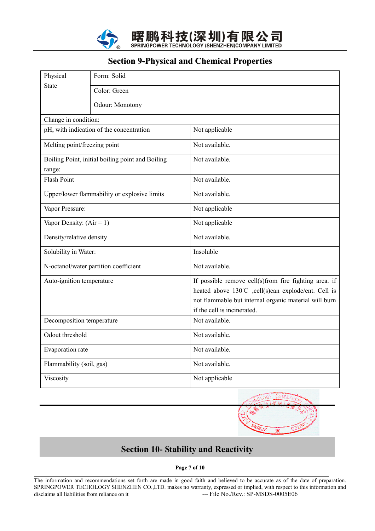

#### **Section 9-Physical and Chemical Properties**

| Physical                                                   | Form: Solid                                  |                                                                                                                                                                                                      |  |
|------------------------------------------------------------|----------------------------------------------|------------------------------------------------------------------------------------------------------------------------------------------------------------------------------------------------------|--|
| <b>State</b>                                               | Color: Green                                 |                                                                                                                                                                                                      |  |
|                                                            | Odour: Monotony                              |                                                                                                                                                                                                      |  |
| Change in condition:                                       |                                              |                                                                                                                                                                                                      |  |
|                                                            | pH, with indication of the concentration     | Not applicable                                                                                                                                                                                       |  |
| Melting point/freezing point                               |                                              | Not available.                                                                                                                                                                                       |  |
| Boiling Point, initial boiling point and Boiling<br>range: |                                              | Not available.                                                                                                                                                                                       |  |
| <b>Flash Point</b>                                         |                                              | Not available.                                                                                                                                                                                       |  |
|                                                            | Upper/lower flammability or explosive limits | Not available.                                                                                                                                                                                       |  |
| Vapor Pressure:                                            |                                              | Not applicable                                                                                                                                                                                       |  |
| Vapor Density: $(Air = 1)$                                 |                                              | Not applicable                                                                                                                                                                                       |  |
| Density/relative density                                   |                                              | Not available.                                                                                                                                                                                       |  |
| Solubility in Water:                                       |                                              | Insoluble                                                                                                                                                                                            |  |
|                                                            | N-octanol/water partition coefficient        | Not available.                                                                                                                                                                                       |  |
| Auto-ignition temperature                                  |                                              | If possible remove cell(s)from fire fighting area. if<br>heated above 130°C ,cell(s)can explode/ent. Cell is<br>not flammable but internal organic material will burn<br>if the cell is incinerated. |  |
| Decomposition temperature                                  |                                              | Not available.                                                                                                                                                                                       |  |
| Odout threshold                                            |                                              | Not available.                                                                                                                                                                                       |  |
| Evaporation rate                                           |                                              | Not available.                                                                                                                                                                                       |  |
| Flammability (soil, gas)                                   |                                              | Not available.                                                                                                                                                                                       |  |
| Viscosity                                                  |                                              | Not applicable                                                                                                                                                                                       |  |



## **SSection 10- Stability and Reactivity ection 10- Stability and Reactivity**

**Page 7 of 10** 

 $\overline{a}$ 

The information and recommendations set forth are made in good faith and believed to be accurate as of the date of preparation. SPRINGPOWER TECHOLOGY SHENZHEN CO.,LTD. makes no warranty, expressed or implied, with respect to this information and disclaims all liabilities from reliance on it ---- File No./Rev.: SP-MSDS-0005E06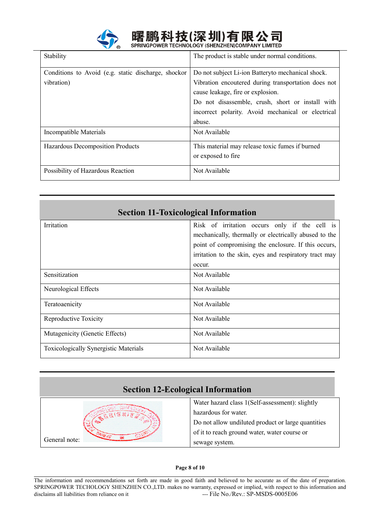

# 曙鹏科技(深圳)有限公司<br>springpower technology (shenzhen)company Limited

| Stability                                           | The product is stable under normal conditions.      |
|-----------------------------------------------------|-----------------------------------------------------|
| Conditions to Avoid (e.g. static discharge, shockor | Do not subject Li-ion Batteryto mechanical shock.   |
| vibration)                                          | Vibration encoutered during transportation does not |
|                                                     | cause leakage, fire or explosion.                   |
|                                                     | Do not disassemble, crush, short or install with    |
|                                                     | incorrect polarity. Avoid mechanical or electrical  |
|                                                     | abuse.                                              |
| Incompatible Materials                              | Not Available                                       |
| <b>Hazardous Decomposition Products</b>             | This material may release toxic fumes if burned     |
|                                                     | or exposed to fire                                  |
| Possibility of Hazardous Reaction                   | Not Available                                       |

| <b>Section 11-Toxicological Information</b>  |                                                        |  |
|----------------------------------------------|--------------------------------------------------------|--|
| Irritation                                   | Risk of irritation occurs only if the cell is          |  |
|                                              | mechanically, thermally or electrically abused to the  |  |
|                                              | point of compromising the enclosure. If this occurs,   |  |
|                                              | irritation to the skin, eyes and respiratory tract may |  |
|                                              | occur.                                                 |  |
| Sensitization                                | Not Available                                          |  |
| Neurological Effects                         | Not Available                                          |  |
| Teratoaenicity                               | Not Available                                          |  |
| Reproductive Toxicity                        | Not Available                                          |  |
| Mutagenicity (Genetic Effects)               | Not Available                                          |  |
| <b>Toxicologically Synergistic Materials</b> | Not Available                                          |  |



#### **Page 8 of 10**

 $\overline{a}$ 

The information and recommendations set forth are made in good faith and believed to be accurate as of the date of preparation. SPRINGPOWER TECHOLOGY SHENZHEN CO.,LTD. makes no warranty, expressed or implied, with respect to this information and disclaims all liabilities from reliance on it ---- File No./Rev.: SP-MSDS-0005E06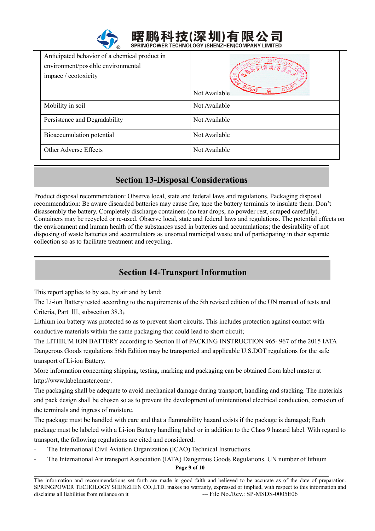| Anticipated behavior of a chemical product in<br>environment/possible environmental<br>impace / ecotoxicity | → 高宗法(保州)有金<br>$O$ NIHdS<br>Not Available |
|-------------------------------------------------------------------------------------------------------------|-------------------------------------------|
| Mobility in soil                                                                                            | Not Available                             |
| Persistence and Degradability                                                                               | Not Available                             |
| Bioaccumulation potential                                                                                   | Not Available                             |
| Other Adverse Effects                                                                                       | Not Available                             |

#### **Section 13-Disposal Considerations Section 13-Disposal Considerations**

Product disposal recommendation: Observe local, state and federal laws and regulations. Packaging disposal recommendation: Be aware discarded batteries may cause fire, tape the battery terminals to insulate them. Don't disassembly the battery. Completely discharge containers (no tear drops, no powder rest, scraped carefully). Containers may be recycled or re-used. Observe local, state and federal laws and regulations. The potential effects on the environment and human health of the substances used in batteries and accumulations; the desirability of not disposing of waste batteries and accumulators as unsorted municipal waste and of participating in their separate collection so as to facilitate treatment and recycling.

## **Section 14-Transport Information Section 14-Transport Information**

This report applies to by sea, by air and by land;

The Li-ion Battery tested according to the requirements of the 5th revised edition of the UN manual of tests and Criteria, Part Ⅲ, subsection 38.3;

Lithium ion battery was protected so as to prevent short circuits. This includes protection against contact with conductive materials within the same packaging that could lead to short circuit;

The LITHIUM ION BATTERY according to Section II of PACKING INSTRUCTION 965- 967 of the 2015 IATA Dangerous Goods regulations 56th Edition may be transported and applicable U.S.DOT regulations for the safe transport of Li-ion Battery.

More information concerning shipping, testing, marking and packaging can be obtained from label master at http://www.labelmaster.com/.

The packaging shall be adequate to avoid mechanical damage during transport, handling and stacking. The materials and pack design shall be chosen so as to prevent the development of unintentional electrical conduction, corrosion of the terminals and ingress of moisture.

The package must be handled with care and that a flammability hazard exists if the package is damaged; Each package must be labeled with a Li-ion Battery handling label or in addition to the Class 9 hazard label. With regard to transport, the following regulations are cited and considered:

The International Civil Aviation Organization (ICAO) Technical Instructions.

**Page 9 of 10**  - The International Air transport Association (IATA) Dangerous Goods Regulations. UN number of lithium